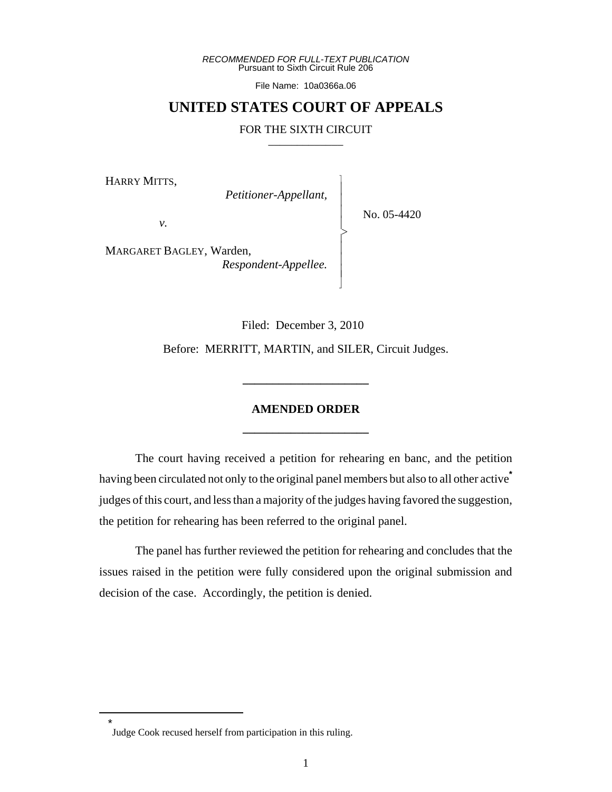*RECOMMENDED FOR FULL-TEXT PUBLICATION* Pursuant to Sixth Circuit Rule 206

File Name: 10a0366a.06

# **UNITED STATES COURT OF APPEALS**

#### FOR THE SIXTH CIRCUIT

 $\overline{\phantom{a}}$ - - - > , - - - N

HARRY MITTS,

 *Petitioner-Appellant,*

No. 05-4420

*v.*

MARGARET BAGLEY, Warden, *Respondent-Appellee.*

Filed: December 3, 2010

Before: MERRITT, MARTIN, and SILER, Circuit Judges.

**\_\_\_\_\_\_\_\_\_\_\_\_\_\_\_\_\_\_\_\_\_**

# **AMENDED ORDER \_\_\_\_\_\_\_\_\_\_\_\_\_\_\_\_\_\_\_\_\_**

The court having received a petition for rehearing en banc, and the petition having been circulated not only to the original panel members but also to all other active**\*** judges of this court, and less than a majority of the judges having favored the suggestion, the petition for rehearing has been referred to the original panel.

The panel has further reviewed the petition for rehearing and concludes that the issues raised in the petition were fully considered upon the original submission and decision of the case. Accordingly, the petition is denied.

\*

Judge Cook recused herself from participation in this ruling.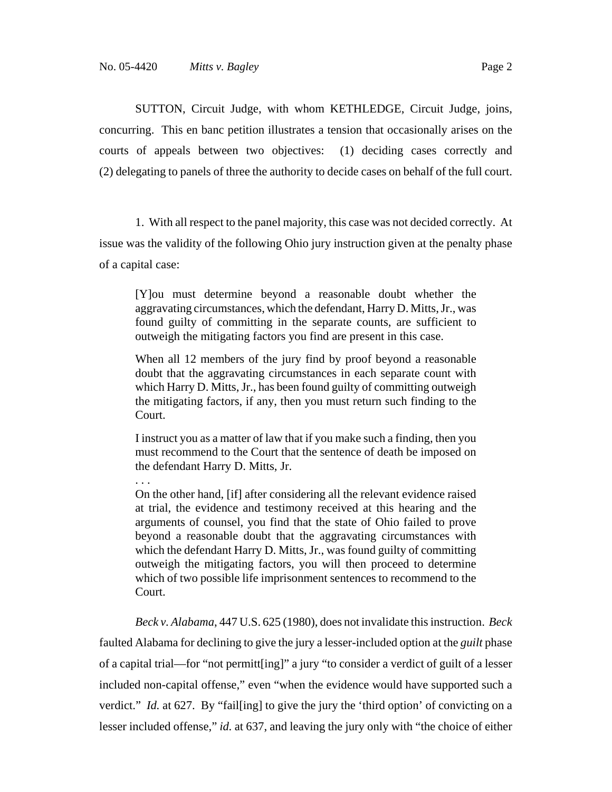. . .

SUTTON, Circuit Judge, with whom KETHLEDGE, Circuit Judge, joins, concurring. This en banc petition illustrates a tension that occasionally arises on the courts of appeals between two objectives: (1) deciding cases correctly and (2) delegating to panels of three the authority to decide cases on behalf of the full court.

1. With all respect to the panel majority, this case was not decided correctly. At issue was the validity of the following Ohio jury instruction given at the penalty phase of a capital case:

[Y]ou must determine beyond a reasonable doubt whether the aggravating circumstances, which the defendant, Harry D. Mitts, Jr., was found guilty of committing in the separate counts, are sufficient to outweigh the mitigating factors you find are present in this case.

When all 12 members of the jury find by proof beyond a reasonable doubt that the aggravating circumstances in each separate count with which Harry D. Mitts, Jr., has been found guilty of committing outweigh the mitigating factors, if any, then you must return such finding to the Court.

I instruct you as a matter of law that if you make such a finding, then you must recommend to the Court that the sentence of death be imposed on the defendant Harry D. Mitts, Jr.

On the other hand, [if] after considering all the relevant evidence raised at trial, the evidence and testimony received at this hearing and the arguments of counsel, you find that the state of Ohio failed to prove beyond a reasonable doubt that the aggravating circumstances with which the defendant Harry D. Mitts, Jr., was found guilty of committing outweigh the mitigating factors, you will then proceed to determine which of two possible life imprisonment sentences to recommend to the Court.

*Beck v. Alabama*, 447 U.S. 625 (1980), does not invalidate this instruction. *Beck* faulted Alabama for declining to give the jury a lesser-included option at the *guilt* phase of a capital trial—for "not permitt[ing]" a jury "to consider a verdict of guilt of a lesser included non-capital offense," even "when the evidence would have supported such a verdict." *Id.* at 627. By "fail[ing] to give the jury the 'third option' of convicting on a lesser included offense," *id.* at 637, and leaving the jury only with "the choice of either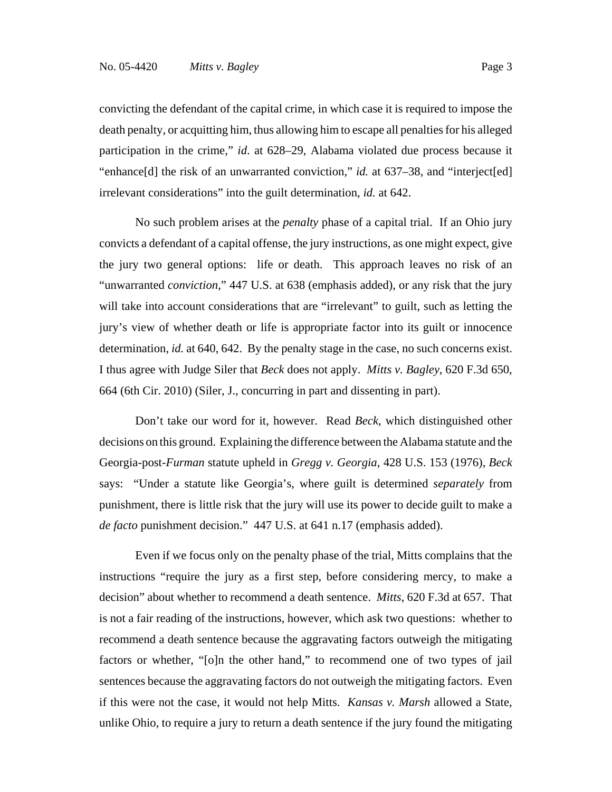convicting the defendant of the capital crime, in which case it is required to impose the death penalty, or acquitting him, thus allowing him to escape all penalties for his alleged participation in the crime," *id*. at 628–29, Alabama violated due process because it "enhance[d] the risk of an unwarranted conviction," *id.* at 637–38, and "interject[ed] irrelevant considerations" into the guilt determination, *id.* at 642.

No such problem arises at the *penalty* phase of a capital trial. If an Ohio jury convicts a defendant of a capital offense, the jury instructions, as one might expect, give the jury two general options: life or death. This approach leaves no risk of an "unwarranted *conviction*," 447 U.S. at 638 (emphasis added), or any risk that the jury will take into account considerations that are "irrelevant" to guilt, such as letting the jury's view of whether death or life is appropriate factor into its guilt or innocence determination, *id.* at 640, 642.By the penalty stage in the case, no such concerns exist. I thus agree with Judge Siler that *Beck* does not apply. *Mitts v. Bagley*, 620 F.3d 650, 664 (6th Cir. 2010) (Siler, J., concurring in part and dissenting in part).

Don't take our word for it, however. Read *Beck*, which distinguished other decisions on this ground. Explaining the difference between the Alabama statute and the Georgia-post-*Furman* statute upheld in *Gregg v. Georgia*, 428 U.S. 153 (1976), *Beck* says: "Under a statute like Georgia's, where guilt is determined *separately* from punishment, there is little risk that the jury will use its power to decide guilt to make a *de facto* punishment decision." 447 U.S. at 641 n.17 (emphasis added).

Even if we focus only on the penalty phase of the trial, Mitts complains that the instructions "require the jury as a first step, before considering mercy, to make a decision" about whether to recommend a death sentence. *Mitts*, 620 F.3d at 657. That is not a fair reading of the instructions, however, which ask two questions: whether to recommend a death sentence because the aggravating factors outweigh the mitigating factors or whether, "[o]n the other hand," to recommend one of two types of jail sentences because the aggravating factors do not outweigh the mitigating factors. Even if this were not the case, it would not help Mitts. *Kansas v. Marsh* allowed a State, unlike Ohio, to require a jury to return a death sentence if the jury found the mitigating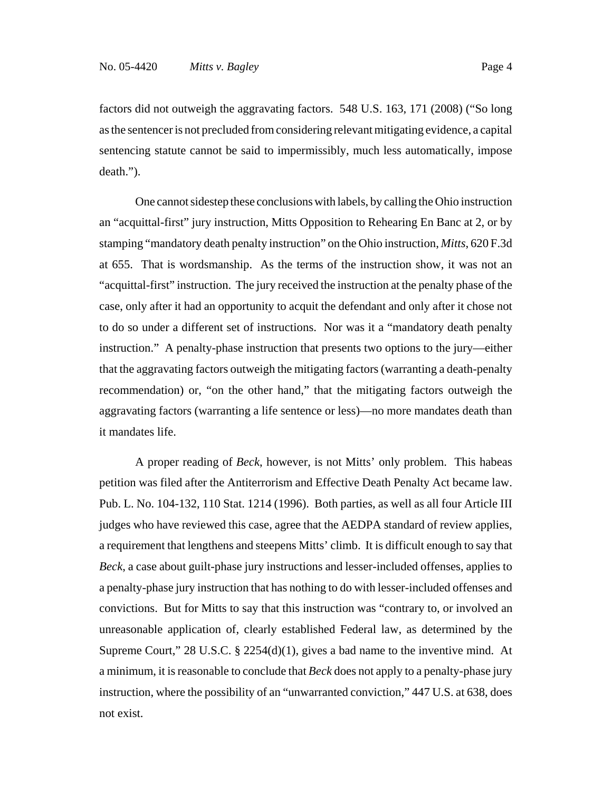factors did not outweigh the aggravating factors. 548 U.S. 163, 171 (2008) ("So long as the sentencer is not precluded from considering relevant mitigating evidence, a capital sentencing statute cannot be said to impermissibly, much less automatically, impose death.").

One cannot sidestep these conclusions with labels, by calling the Ohio instruction an "acquittal-first" jury instruction, Mitts Opposition to Rehearing En Banc at 2, or by stamping "mandatory death penalty instruction" on the Ohio instruction, *Mitts*, 620 F.3d at 655. That is wordsmanship. As the terms of the instruction show, it was not an "acquittal-first" instruction. The jury received the instruction at the penalty phase of the case, only after it had an opportunity to acquit the defendant and only after it chose not to do so under a different set of instructions. Nor was it a "mandatory death penalty instruction." A penalty-phase instruction that presents two options to the jury—either that the aggravating factors outweigh the mitigating factors (warranting a death-penalty recommendation) or, "on the other hand," that the mitigating factors outweigh the aggravating factors (warranting a life sentence or less)—no more mandates death than it mandates life.

A proper reading of *Beck*, however, is not Mitts' only problem. This habeas petition was filed after the Antiterrorism and Effective Death Penalty Act became law. Pub. L. No. 104-132, 110 Stat. 1214 (1996). Both parties, as well as all four Article III judges who have reviewed this case, agree that the AEDPA standard of review applies, a requirement that lengthens and steepens Mitts' climb. It is difficult enough to say that *Beck*, a case about guilt-phase jury instructions and lesser-included offenses, applies to a penalty-phase jury instruction that has nothing to do with lesser-included offenses and convictions. But for Mitts to say that this instruction was "contrary to, or involved an unreasonable application of, clearly established Federal law, as determined by the Supreme Court," 28 U.S.C. § 2254(d)(1), gives a bad name to the inventive mind. At a minimum, it is reasonable to conclude that *Beck* does not apply to a penalty-phase jury instruction, where the possibility of an "unwarranted conviction," 447 U.S. at 638, does not exist.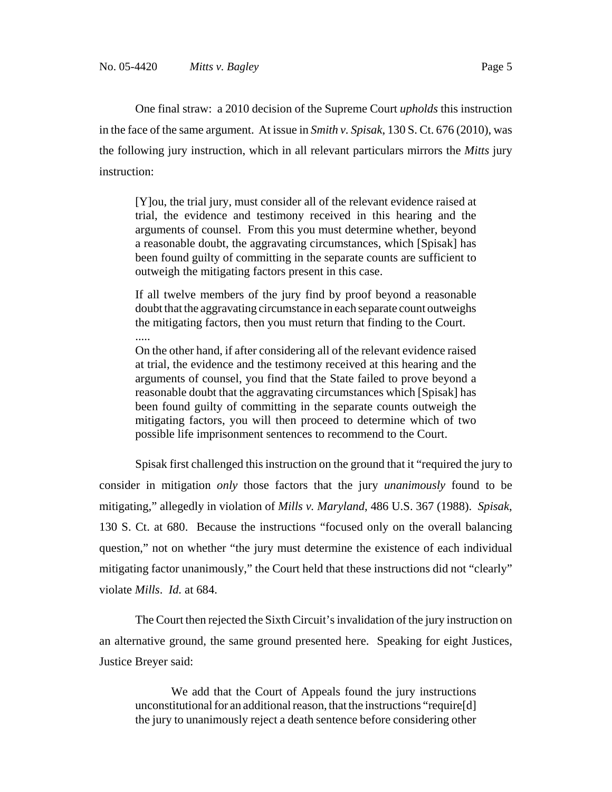One final straw: a 2010 decision of the Supreme Court *upholds* this instruction in the face of the same argument. At issue in *Smith v. Spisak*, 130 S. Ct. 676 (2010), was the following jury instruction, which in all relevant particulars mirrors the *Mitts* jury instruction:

[Y]ou, the trial jury, must consider all of the relevant evidence raised at trial, the evidence and testimony received in this hearing and the arguments of counsel. From this you must determine whether, beyond a reasonable doubt, the aggravating circumstances, which [Spisak] has been found guilty of committing in the separate counts are sufficient to outweigh the mitigating factors present in this case.

If all twelve members of the jury find by proof beyond a reasonable doubt that the aggravating circumstance in each separate count outweighs the mitigating factors, then you must return that finding to the Court.

..... On the other hand, if after considering all of the relevant evidence raised at trial, the evidence and the testimony received at this hearing and the arguments of counsel, you find that the State failed to prove beyond a reasonable doubt that the aggravating circumstances which [Spisak] has been found guilty of committing in the separate counts outweigh the mitigating factors, you will then proceed to determine which of two possible life imprisonment sentences to recommend to the Court.

Spisak first challenged this instruction on the ground that it "required the jury to consider in mitigation *only* those factors that the jury *unanimously* found to be mitigating," allegedly in violation of *Mills v. Maryland*, 486 U.S. 367 (1988). *Spisak*, 130 S. Ct. at 680. Because the instructions "focused only on the overall balancing question," not on whether "the jury must determine the existence of each individual mitigating factor unanimously," the Court held that these instructions did not "clearly" violate *Mills*. *Id.* at 684.

The Court then rejected the Sixth Circuit's invalidation of the jury instruction on an alternative ground, the same ground presented here. Speaking for eight Justices, Justice Breyer said:

We add that the Court of Appeals found the jury instructions unconstitutional for an additional reason, that the instructions "require[d] the jury to unanimously reject a death sentence before considering other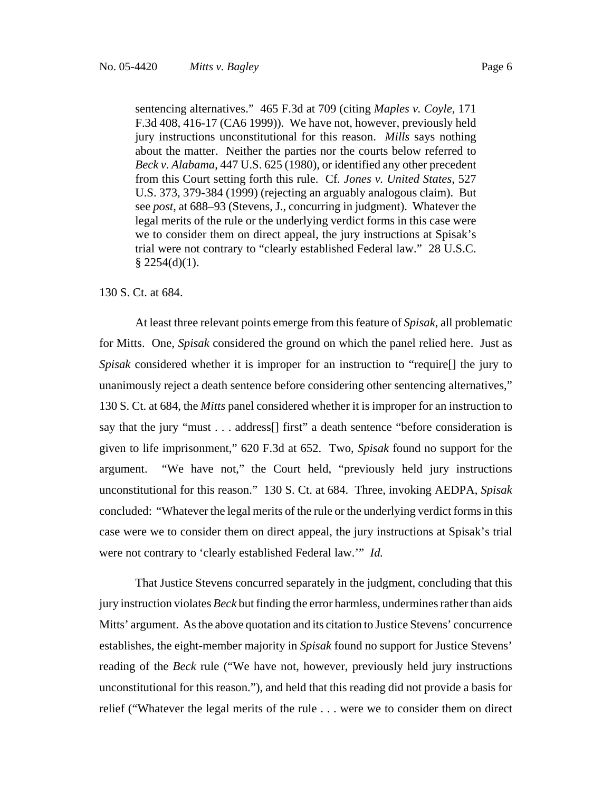sentencing alternatives." 465 F.3d at 709 (citing *Maples v. Coyle*, 171 F.3d 408, 416-17 (CA6 1999)). We have not, however, previously held jury instructions unconstitutional for this reason. *Mills* says nothing about the matter. Neither the parties nor the courts below referred to *Beck v. Alabama*, 447 U.S. 625 (1980), or identified any other precedent from this Court setting forth this rule. Cf*. Jones v. United States*, 527 U.S. 373, 379-384 (1999) (rejecting an arguably analogous claim). But see *post*, at 688–93 (Stevens, J., concurring in judgment). Whatever the legal merits of the rule or the underlying verdict forms in this case were we to consider them on direct appeal, the jury instructions at Spisak's trial were not contrary to "clearly established Federal law." 28 U.S.C.  $§$  2254(d)(1).

#### 130 S. Ct. at 684.

At least three relevant points emerge from this feature of *Spisak*, all problematic for Mitts. One, *Spisak* considered the ground on which the panel relied here. Just as *Spisak* considered whether it is improper for an instruction to "require[] the jury to unanimously reject a death sentence before considering other sentencing alternatives," 130 S. Ct. at 684, the *Mitts* panel considered whether it is improper for an instruction to say that the jury "must . . . address[] first" a death sentence "before consideration is given to life imprisonment," 620 F.3d at 652. Two, *Spisak* found no support for the argument. "We have not," the Court held, "previously held jury instructions unconstitutional for this reason." 130 S. Ct. at 684. Three, invoking AEDPA, *Spisak* concluded: "Whatever the legal merits of the rule or the underlying verdict forms in this case were we to consider them on direct appeal, the jury instructions at Spisak's trial were not contrary to 'clearly established Federal law.'" *Id.*

That Justice Stevens concurred separately in the judgment, concluding that this jury instruction violates *Beck* but finding the error harmless, undermines rather than aids Mitts' argument. As the above quotation and its citation to Justice Stevens' concurrence establishes, the eight-member majority in *Spisak* found no support for Justice Stevens' reading of the *Beck* rule ("We have not, however, previously held jury instructions unconstitutional for this reason."), and held that this reading did not provide a basis for relief ("Whatever the legal merits of the rule . . . were we to consider them on direct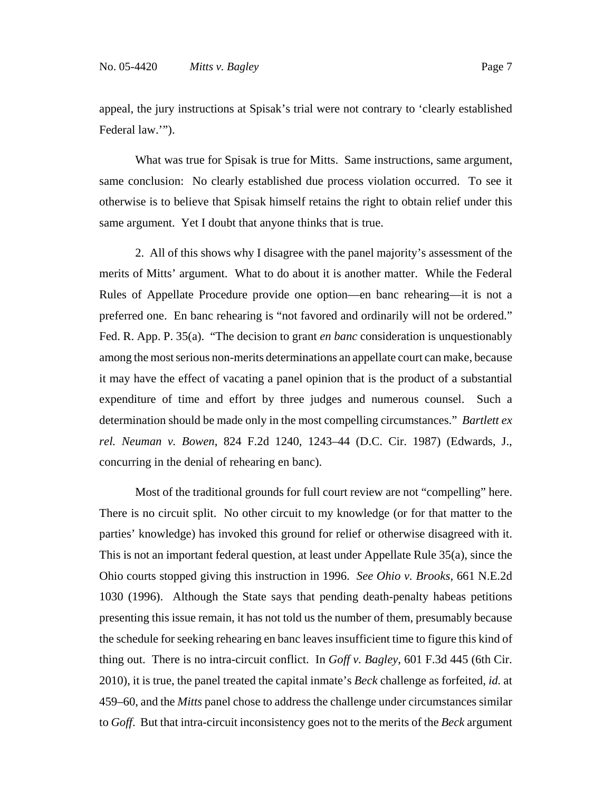appeal, the jury instructions at Spisak's trial were not contrary to 'clearly established Federal law."").

What was true for Spisak is true for Mitts. Same instructions, same argument, same conclusion: No clearly established due process violation occurred. To see it otherwise is to believe that Spisak himself retains the right to obtain relief under this same argument. Yet I doubt that anyone thinks that is true.

2. All of this shows why I disagree with the panel majority's assessment of the merits of Mitts' argument. What to do about it is another matter. While the Federal Rules of Appellate Procedure provide one option—en banc rehearing—it is not a preferred one. En banc rehearing is "not favored and ordinarily will not be ordered." Fed. R. App. P. 35(a). "The decision to grant *en banc* consideration is unquestionably among the most serious non-merits determinations an appellate court can make, because it may have the effect of vacating a panel opinion that is the product of a substantial expenditure of time and effort by three judges and numerous counsel. Such a determination should be made only in the most compelling circumstances." *Bartlett ex rel. Neuman v. Bowen*, 824 F.2d 1240, 1243–44 (D.C. Cir. 1987) (Edwards, J., concurring in the denial of rehearing en banc).

Most of the traditional grounds for full court review are not "compelling" here. There is no circuit split. No other circuit to my knowledge (or for that matter to the parties' knowledge) has invoked this ground for relief or otherwise disagreed with it. This is not an important federal question, at least under Appellate Rule 35(a), since the Ohio courts stopped giving this instruction in 1996. *See Ohio v. Brooks*, 661 N.E.2d 1030 (1996). Although the State says that pending death-penalty habeas petitions presenting this issue remain, it has not told us the number of them, presumably because the schedule for seeking rehearing en banc leaves insufficient time to figure this kind of thing out. There is no intra-circuit conflict. In *Goff v. Bagley*, 601 F.3d 445 (6th Cir. 2010), it is true, the panel treated the capital inmate's *Beck* challenge as forfeited, *id.* at 459–60, and the *Mitts* panel chose to address the challenge under circumstances similar to *Goff*. But that intra-circuit inconsistency goes not to the merits of the *Beck* argument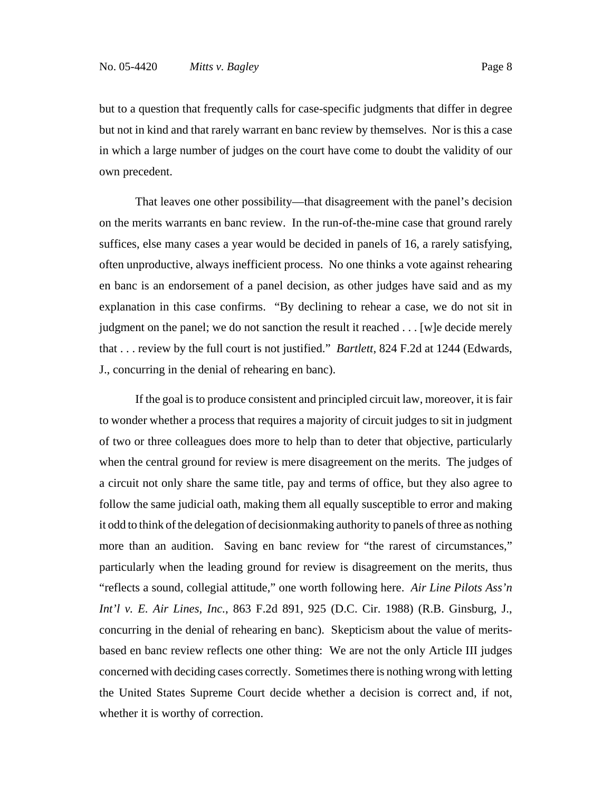but to a question that frequently calls for case-specific judgments that differ in degree but not in kind and that rarely warrant en banc review by themselves. Nor is this a case in which a large number of judges on the court have come to doubt the validity of our own precedent.

That leaves one other possibility—that disagreement with the panel's decision on the merits warrants en banc review. In the run-of-the-mine case that ground rarely suffices, else many cases a year would be decided in panels of 16, a rarely satisfying, often unproductive, always inefficient process. No one thinks a vote against rehearing en banc is an endorsement of a panel decision, as other judges have said and as my explanation in this case confirms. "By declining to rehear a case, we do not sit in judgment on the panel; we do not sanction the result it reached . . . [w]e decide merely that . . . review by the full court is not justified." *Bartlett*, 824 F.2d at 1244 (Edwards, J., concurring in the denial of rehearing en banc).

If the goal is to produce consistent and principled circuit law, moreover, it is fair to wonder whether a process that requires a majority of circuit judges to sit in judgment of two or three colleagues does more to help than to deter that objective, particularly when the central ground for review is mere disagreement on the merits. The judges of a circuit not only share the same title, pay and terms of office, but they also agree to follow the same judicial oath, making them all equally susceptible to error and making it odd to think of the delegation of decisionmaking authority to panels of three as nothing more than an audition. Saving en banc review for "the rarest of circumstances," particularly when the leading ground for review is disagreement on the merits, thus "reflects a sound, collegial attitude," one worth following here. *Air Line Pilots Ass'n Int'l v. E. Air Lines, Inc.*, 863 F.2d 891, 925 (D.C. Cir. 1988) (R.B. Ginsburg, J., concurring in the denial of rehearing en banc). Skepticism about the value of meritsbased en banc review reflects one other thing: We are not the only Article III judges concerned with deciding cases correctly. Sometimes there is nothing wrong with letting the United States Supreme Court decide whether a decision is correct and, if not, whether it is worthy of correction.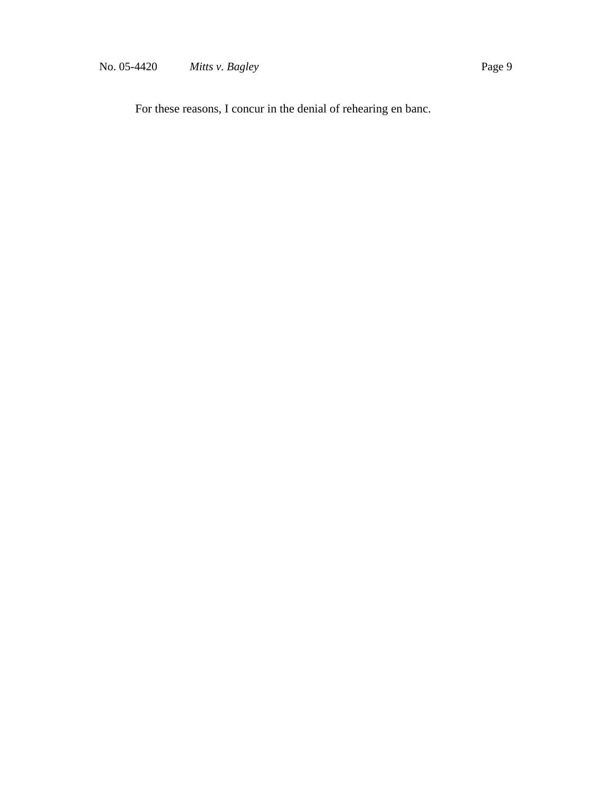For these reasons, I concur in the denial of rehearing en banc.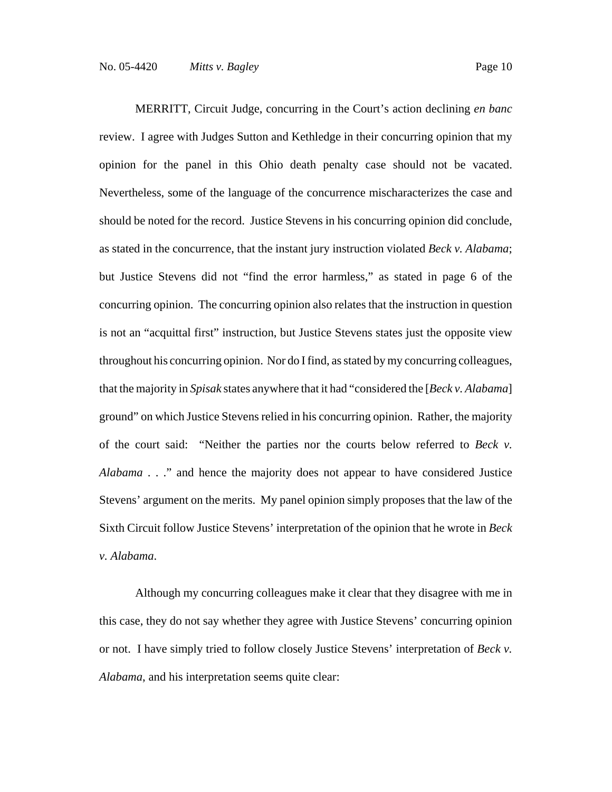MERRITT, Circuit Judge, concurring in the Court's action declining *en banc* review. I agree with Judges Sutton and Kethledge in their concurring opinion that my opinion for the panel in this Ohio death penalty case should not be vacated. Nevertheless, some of the language of the concurrence mischaracterizes the case and should be noted for the record. Justice Stevens in his concurring opinion did conclude, as stated in the concurrence, that the instant jury instruction violated *Beck v. Alabama*; but Justice Stevens did not "find the error harmless," as stated in page 6 of the concurring opinion. The concurring opinion also relates that the instruction in question is not an "acquittal first" instruction, but Justice Stevens states just the opposite view throughout his concurring opinion. Nor do I find, as stated by my concurring colleagues, that the majority in *Spisak* states anywhere that it had "considered the [*Beck v. Alabama*] ground" on which Justice Stevens relied in his concurring opinion. Rather, the majority of the court said: "Neither the parties nor the courts below referred to *Beck v. Alabama* . . ." and hence the majority does not appear to have considered Justice Stevens' argument on the merits. My panel opinion simply proposes that the law of the Sixth Circuit follow Justice Stevens' interpretation of the opinion that he wrote in *Beck v. Alabama*.

Although my concurring colleagues make it clear that they disagree with me in this case, they do not say whether they agree with Justice Stevens' concurring opinion or not. I have simply tried to follow closely Justice Stevens' interpretation of *Beck v. Alabama*, and his interpretation seems quite clear: